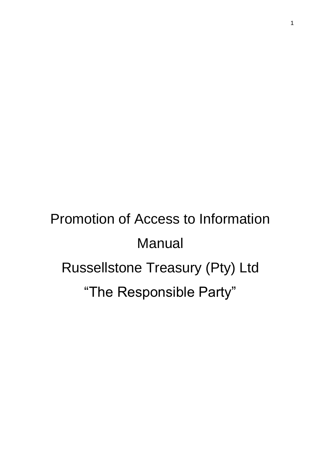# Promotion of Access to Information Manual Russellstone Treasury (Pty) Ltd "The Responsible Party"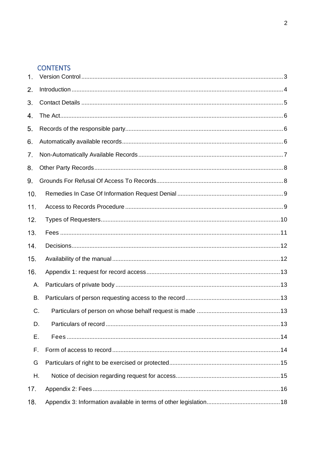# **CONTENTS**

| 1.  |  |
|-----|--|
| 2.  |  |
| 3.  |  |
| 4.  |  |
| 5.  |  |
| 6.  |  |
| 7.  |  |
| 8.  |  |
| 9.  |  |
| 10. |  |
| 11. |  |
| 12. |  |
| 13. |  |
| 14. |  |
| 15. |  |
| 16. |  |
| А.  |  |
| В.  |  |
| C.  |  |
| D.  |  |
| Ε.  |  |
| F.  |  |
| G   |  |
| Η.  |  |
| 17. |  |
| 18. |  |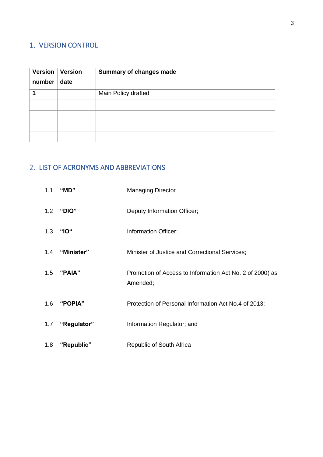# <span id="page-2-0"></span>1. VERSION CONTROL

| Version<br>number | Version<br>date | <b>Summary of changes made</b> |
|-------------------|-----------------|--------------------------------|
|                   |                 | Main Policy drafted            |
|                   |                 |                                |
|                   |                 |                                |
|                   |                 |                                |
|                   |                 |                                |

# 2. LIST OF ACRONYMS AND ABBREVIATIONS

| 1.1 | "MD"        | <b>Managing Director</b>                                            |
|-----|-------------|---------------------------------------------------------------------|
|     | 1.2 "DIO"   | Deputy Information Officer;                                         |
| 1.3 | "IO"        | Information Officer;                                                |
| 1.4 | "Minister"  | Minister of Justice and Correctional Services;                      |
|     | 1.5 "PAIA"  | Promotion of Access to Information Act No. 2 of 2000(as<br>Amended; |
| 1.6 | "POPIA"     | Protection of Personal Information Act No.4 of 2013;                |
| 1.7 | "Regulator" | Information Regulator; and                                          |
| 1.8 | "Republic"  | Republic of South Africa                                            |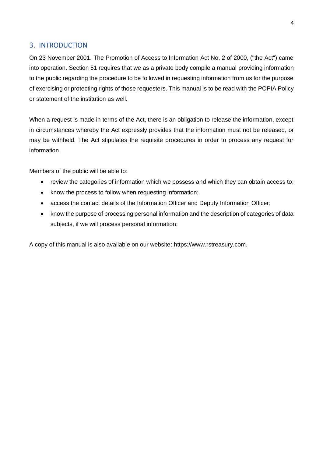# <span id="page-3-0"></span>**3. INTRODUCTION**

On 23 November 2001. The Promotion of Access to Information Act No. 2 of 2000, ("the Act") came into operation. Section 51 requires that we as a private body compile a manual providing information to the public regarding the procedure to be followed in requesting information from us for the purpose of exercising or protecting rights of those requesters. This manual is to be read with the POPIA Policy or statement of the institution as well.

When a request is made in terms of the Act, there is an obligation to release the information, except in circumstances whereby the Act expressly provides that the information must not be released, or may be withheld. The Act stipulates the requisite procedures in order to process any request for information.

Members of the public will be able to:

- review the categories of information which we possess and which they can obtain access to;
- know the process to follow when requesting information;
- access the contact details of the Information Officer and Deputy Information Officer;
- know the purpose of processing personal information and the description of categories of data subjects, if we will process personal information;

A copy of this manual is also available on our website: https://www.rstreasury.com.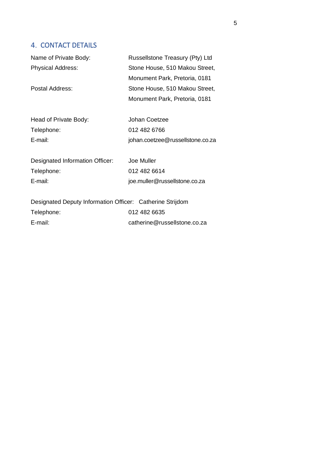# <span id="page-4-0"></span>4. CONTACT DETAILS

| Name of Private Body:                                     | Russellstone Treasury (Pty) Ltd  |
|-----------------------------------------------------------|----------------------------------|
| <b>Physical Address:</b>                                  | Stone House, 510 Makou Street,   |
|                                                           | Monument Park, Pretoria, 0181    |
| Postal Address:                                           | Stone House, 510 Makou Street,   |
|                                                           | Monument Park, Pretoria, 0181    |
| Head of Private Body:                                     | Johan Coetzee                    |
| Telephone:                                                | 012 482 6766                     |
| E-mail:                                                   | johan.coetzee@russellstone.co.za |
| Designated Information Officer:                           | Joe Muller                       |
| Telephone:                                                | 012 482 6614                     |
| E-mail:                                                   | joe.muller@russellstone.co.za    |
| Designated Deputy Information Officer: Catherine Strijdom |                                  |
| Telephone:                                                | 012 482 6635                     |
| E-mail:                                                   | catherine@russellstone.co.za     |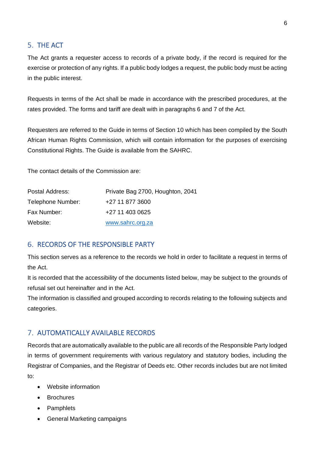# <span id="page-5-0"></span>5. THE ACT

The Act grants a requester access to records of a private body, if the record is required for the exercise or protection of any rights. If a public body lodges a request, the public body must be acting in the public interest.

Requests in terms of the Act shall be made in accordance with the prescribed procedures, at the rates provided. The forms and tariff are dealt with in paragraphs 6 and 7 of the Act.

Requesters are referred to the Guide in terms of Section 10 which has been compiled by the South African Human Rights Commission, which will contain information for the purposes of exercising Constitutional Rights. The Guide is available from the SAHRC.

The contact details of the Commission are:

| Postal Address:   | Private Bag 2700, Houghton, 2041 |
|-------------------|----------------------------------|
| Telephone Number: | +27 11 877 3600                  |
| Fax Number:       | +27 11 403 0625                  |
| Website:          | www.sahrc.org.za                 |

## <span id="page-5-1"></span>**6. RECORDS OF THE RESPONSIBLE PARTY**

This section serves as a reference to the records we hold in order to facilitate a request in terms of the Act.

It is recorded that the accessibility of the documents listed below, may be subject to the grounds of refusal set out hereinafter and in the Act.

The information is classified and grouped according to records relating to the following subjects and categories.

## <span id="page-5-2"></span>7. AUTOMATICALLY AVAILABLE RECORDS

Records that are automatically available to the public are all records of the Responsible Party lodged in terms of government requirements with various regulatory and statutory bodies, including the Registrar of Companies, and the Registrar of Deeds etc. Other records includes but are not limited to:

- Website information
- Brochures
- Pamphlets
- General Marketing campaigns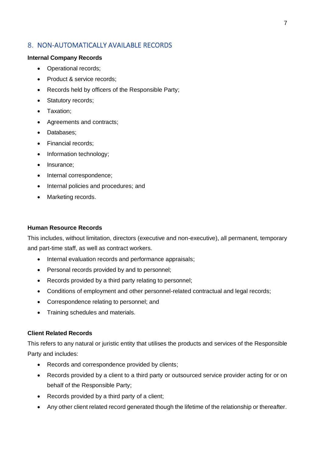# <span id="page-6-0"></span>8. NON-AUTOMATICALLY AVAILABLE RECORDS

#### **Internal Company Records**

- Operational records;
- Product & service records:
- Records held by officers of the Responsible Party;
- Statutory records;
- Taxation;
- Agreements and contracts;
- Databases;
- Financial records;
- Information technology;
- Insurance;
- Internal correspondence:
- Internal policies and procedures; and
- Marketing records.

#### **Human Resource Records**

This includes, without limitation, directors (executive and non-executive), all permanent, temporary and part-time staff, as well as contract workers.

- Internal evaluation records and performance appraisals;
- Personal records provided by and to personnel;
- Records provided by a third party relating to personnel;
- Conditions of employment and other personnel-related contractual and legal records;
- Correspondence relating to personnel; and
- Training schedules and materials.

#### **Client Related Records**

This refers to any natural or juristic entity that utilises the products and services of the Responsible Party and includes:

- Records and correspondence provided by clients;
- Records provided by a client to a third party or outsourced service provider acting for or on behalf of the Responsible Party;
- Records provided by a third party of a client;
- Any other client related record generated though the lifetime of the relationship or thereafter.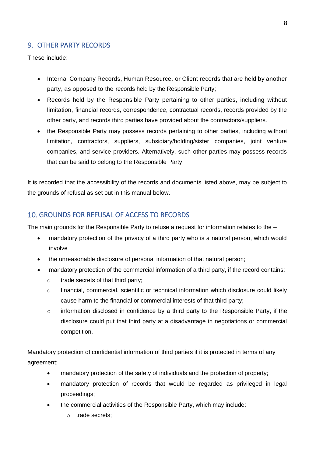# <span id="page-7-0"></span>9. OTHER PARTY RECORDS

These include:

- Internal Company Records, Human Resource, or Client records that are held by another party, as opposed to the records held by the Responsible Party;
- Records held by the Responsible Party pertaining to other parties, including without limitation, financial records, correspondence, contractual records, records provided by the other party, and records third parties have provided about the contractors/suppliers.
- the Responsible Party may possess records pertaining to other parties, including without limitation, contractors, suppliers, subsidiary/holding/sister companies, joint venture companies, and service providers. Alternatively, such other parties may possess records that can be said to belong to the Responsible Party.

It is recorded that the accessibility of the records and documents listed above, may be subject to the grounds of refusal as set out in this manual below.

## <span id="page-7-1"></span>10. GROUNDS FOR REFUSAL OF ACCESS TO RECORDS

The main grounds for the Responsible Party to refuse a request for information relates to the –

- mandatory protection of the privacy of a third party who is a natural person, which would involve
- the unreasonable disclosure of personal information of that natural person;
- mandatory protection of the commercial information of a third party, if the record contains:
	- o trade secrets of that third party;
	- o financial, commercial, scientific or technical information which disclosure could likely cause harm to the financial or commercial interests of that third party;
	- $\circ$  information disclosed in confidence by a third party to the Responsible Party, if the disclosure could put that third party at a disadvantage in negotiations or commercial competition.

Mandatory protection of confidential information of third parties if it is protected in terms of any agreement;

- mandatory protection of the safety of individuals and the protection of property;
- mandatory protection of records that would be regarded as privileged in legal proceedings;
- the commercial activities of the Responsible Party, which may include:
	- o trade secrets;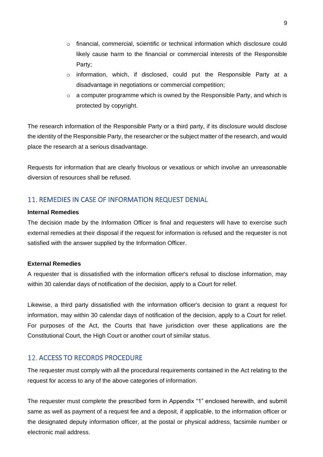- $\circ$  financial, commercial, scientific or technical information which disclosure could likely cause harm to the financial or commercial interests of the Responsible Party;
- $\circ$  information, which, if disclosed, could put the Responsible Party at a disadvantage in negotiations or commercial competition;
- $\circ$  a computer programme which is owned by the Responsible Party, and which is protected by copyright.

The research information of the Responsible Party or a third party, if its disclosure would disclose the identity of the Responsible Party, the researcher or the subject matter of the research, and would place the research at a serious disadvantage.

Requests for information that are clearly frivolous or vexatious or which involve an unreasonable diversion of resources shall be refused.

# <span id="page-8-0"></span>11. REMEDIES IN CASE OF INFORMATION REQUEST DENIAL

#### **Internal Remedies**

The decision made by the Information Officer is final and requesters will have to exercise such external remedies at their disposal if the request for information is refused and the requester is not satisfied with the answer supplied by the Information Officer.

#### **External Remedies**

A requester that is dissatisfied with the information officer's refusal to disclose information, may within 30 calendar days of notification of the decision, apply to a Court for relief.

Likewise, a third party dissatisfied with the information officer's decision to grant a request for information, may within 30 calendar days of notification of the decision, apply to a Court for relief. For purposes of the Act, the Courts that have jurisdiction over these applications are the Constitutional Court, the High Court or another court of similar status.

## <span id="page-8-1"></span>12. ACCESS TO RECORDS PROCEDURE

The requester must comply with all the procedural requirements contained in the Act relating to the request for access to any of the above categories of information.

The requester must complete the prescribed form in Appendix "1" enclosed herewith, and submit same as well as payment of a request fee and a deposit, if applicable, to the information officer or the designated deputy information officer, at the postal or physical address, facsimile number or electronic mail address.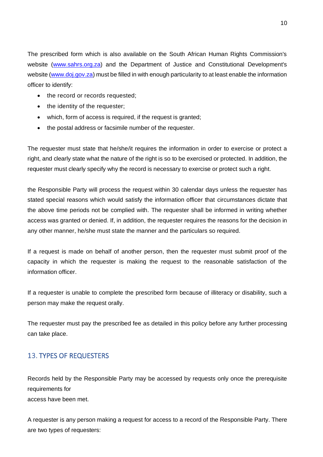The prescribed form which is also available on the South African Human Rights Commission's website [\(www.sahrs.org.za\)](http://www.sahrs.org.za/) and the Department of Justice and Constitutional Development's website [\(www.doj.gov.za\)](http://www.doj.gov.za/) must be filled in with enough particularity to at least enable the information officer to identify:

- the record or records requested;
- the identity of the requester;
- which, form of access is required, if the request is granted;
- the postal address or facsimile number of the requester.

The requester must state that he/she/it requires the information in order to exercise or protect a right, and clearly state what the nature of the right is so to be exercised or protected. In addition, the requester must clearly specify why the record is necessary to exercise or protect such a right.

the Responsible Party will process the request within 30 calendar days unless the requester has stated special reasons which would satisfy the information officer that circumstances dictate that the above time periods not be complied with. The requester shall be informed in writing whether access was granted or denied. If, in addition, the requester requires the reasons for the decision in any other manner, he/she must state the manner and the particulars so required.

If a request is made on behalf of another person, then the requester must submit proof of the capacity in which the requester is making the request to the reasonable satisfaction of the information officer.

If a requester is unable to complete the prescribed form because of illiteracy or disability, such a person may make the request orally.

The requester must pay the prescribed fee as detailed in this policy before any further processing can take place.

# <span id="page-9-0"></span>13. TYPES OF REQUESTERS

Records held by the Responsible Party may be accessed by requests only once the prerequisite requirements for access have been met.

A requester is any person making a request for access to a record of the Responsible Party. There are two types of requesters: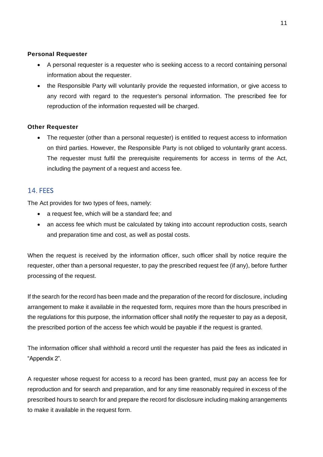#### **Personal Requester**

- A personal requester is a requester who is seeking access to a record containing personal information about the requester.
- the Responsible Party will voluntarily provide the requested information, or give access to any record with regard to the requester's personal information. The prescribed fee for reproduction of the information requested will be charged.

#### **Other Requester**

The requester (other than a personal requester) is entitled to request access to information on third parties. However, the Responsible Party is not obliged to voluntarily grant access. The requester must fulfil the prerequisite requirements for access in terms of the Act, including the payment of a request and access fee.

## <span id="page-10-0"></span>14. FFFS

The Act provides for two types of fees, namely:

- a request fee, which will be a standard fee; and
- an access fee which must be calculated by taking into account reproduction costs, search and preparation time and cost, as well as postal costs.

When the request is received by the information officer, such officer shall by notice require the requester, other than a personal requester, to pay the prescribed request fee (if any), before further processing of the request.

If the search for the record has been made and the preparation of the record for disclosure, including arrangement to make it available in the requested form, requires more than the hours prescribed in the regulations for this purpose, the information officer shall notify the requester to pay as a deposit, the prescribed portion of the access fee which would be payable if the request is granted.

The information officer shall withhold a record until the requester has paid the fees as indicated in "Appendix 2".

A requester whose request for access to a record has been granted, must pay an access fee for reproduction and for search and preparation, and for any time reasonably required in excess of the prescribed hours to search for and prepare the record for disclosure including making arrangements to make it available in the request form.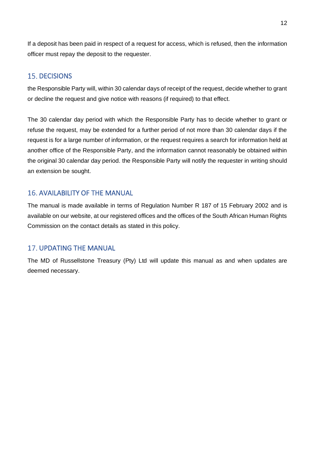If a deposit has been paid in respect of a request for access, which is refused, then the information officer must repay the deposit to the requester.

## <span id="page-11-0"></span>**15. DECISIONS**

the Responsible Party will, within 30 calendar days of receipt of the request, decide whether to grant or decline the request and give notice with reasons (if required) to that effect.

The 30 calendar day period with which the Responsible Party has to decide whether to grant or refuse the request, may be extended for a further period of not more than 30 calendar days if the request is for a large number of information, or the request requires a search for information held at another office of the Responsible Party, and the information cannot reasonably be obtained within the original 30 calendar day period. the Responsible Party will notify the requester in writing should an extension be sought.

# <span id="page-11-1"></span>**16. AVAILABILITY OF THE MANUAL**

The manual is made available in terms of Regulation Number R 187 of 15 February 2002 and is available on our website, at our registered offices and the offices of the South African Human Rights Commission on the contact details as stated in this policy.

## 17. UPDATING THE MANUAL

The MD of Russellstone Treasury (Pty) Ltd will update this manual as and when updates are deemed necessary.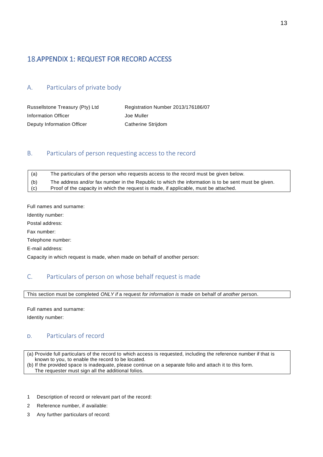# <span id="page-12-0"></span>18. APPENDIX 1: REQUEST FOR RECORD ACCESS

## <span id="page-12-1"></span>A. Particulars of private body

| Russellstone Treasury (Pty) Ltd | Registration Number 2013/176186/07 |
|---------------------------------|------------------------------------|
| Information Officer             | Joe Muller                         |
| Deputy Information Officer      | Catherine Strijdom                 |

#### <span id="page-12-2"></span>B. Particulars of person requesting access to the record

| (a) | The particulars of the person who requests access to the record must be given below.                |
|-----|-----------------------------------------------------------------------------------------------------|
| (b) | The address and/or fax number in the Republic to which the information is to be sent must be given. |
| (c) | Proof of the capacity in which the request is made, if applicable, must be attached.                |

Full names and surname:

Identity number:

Postal address:

Fax number:

Telephone number:

E-mail address:

Capacity in which request is made, when made on behalf of another person:

#### <span id="page-12-3"></span>C. Particulars of person on whose behalf request is made

This section must be completed *ONLY if* a request *for information is* made on behalf of *another* person.

Full names and surname:

Identity number:

## <span id="page-12-4"></span>D. Particulars of record

(a) Provide full particulars of the record to which access is requested, including the reference number if that is known to you, to enable the record to be located. (b) If the provided space is inadequate, please continue on a separate folio and attach it to this form.

The requester must sign all the additional folios.

- 1 Description of record or relevant part of the record:
- 2 Reference number, if available:
- 3 Any further particulars of record: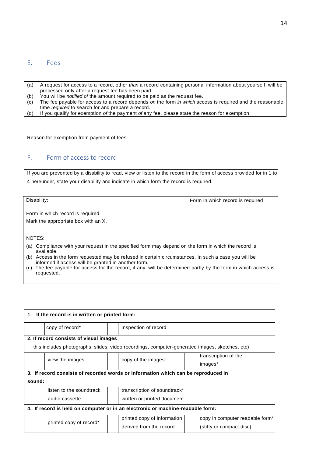#### <span id="page-13-0"></span>E. Fees

- (a) A request for access to a record, other *than* a record containing personal information about yourself, will be processed only after a request fee has been paid.
- (b) You will be *notified of the amount required to be paid as the request fee.*<br>(c) The fee payable for access to a record depends on the form *in which* acc
- (c) The fee payable for access to a record depends *on* the form *in which* access is required and the reasonable time *required* to search for and prepare a record.
- (d) If you qualify for exemption *of* the payment *of* any fee, please state the reason for exemption.

Reason for exemption from payment of fees:

## <span id="page-13-1"></span>F. Form of access to record

If you are prevented by a disability to read, view or listen to the record in the form of access provided for in 1 to 4 hereunder, state your disability and indicate in which form the record is required.

| Disability:                                                                                                                                                 | Form in which record is required |  |
|-------------------------------------------------------------------------------------------------------------------------------------------------------------|----------------------------------|--|
| Form in which record is required:                                                                                                                           |                                  |  |
| Mark the appropriate box with an X.                                                                                                                         |                                  |  |
|                                                                                                                                                             |                                  |  |
| NOTES:                                                                                                                                                      |                                  |  |
| Compliance with your request in the specified form may depend on the form in which the record is<br>(a)<br>available.                                       |                                  |  |
| (b) Access in the form requested may be refused in certain circumstances. In such a case you will be<br>informed if access will be granted in another form. |                                  |  |
| The fee payable for access for the record, if any, will be determined partly by the form in which access is<br>(C)<br>requested.                            |                                  |  |

| 1. If the record is in written or printed form:                                |                                        |  |                                                                                                |                                             |
|--------------------------------------------------------------------------------|----------------------------------------|--|------------------------------------------------------------------------------------------------|---------------------------------------------|
|                                                                                | copy of record*                        |  | inspection of record                                                                           |                                             |
|                                                                                | 2. If record consists of visual images |  |                                                                                                |                                             |
|                                                                                |                                        |  | this includes photographs, slides, video recordings, computer-generated images, sketches, etc) |                                             |
|                                                                                | view the images                        |  | copy of the images"                                                                            | transcription of the                        |
|                                                                                |                                        |  |                                                                                                | images*                                     |
|                                                                                |                                        |  | 3. If record consists of recorded words or information which can be reproduced in              |                                             |
| sound:                                                                         |                                        |  |                                                                                                |                                             |
|                                                                                | listen to the soundtrack               |  | transcription of soundtrack*                                                                   |                                             |
|                                                                                | audio cassette                         |  | written or printed document                                                                    |                                             |
| 4. If record is held on computer or in an electronic or machine-readable form: |                                        |  |                                                                                                |                                             |
|                                                                                | printed copy of record*                |  | printed copy of information                                                                    | copy in computer readable form <sup>*</sup> |
|                                                                                |                                        |  | derived from the record"                                                                       | (stiffy or compact disc)                    |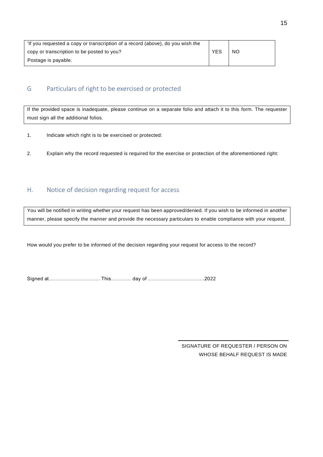| 'If you requested a copy or transcription of a record (above), do you wish the |            |           |
|--------------------------------------------------------------------------------|------------|-----------|
| copy or transcription to be posted to you?                                     | <b>YES</b> | <b>NO</b> |
| Postage is payable.                                                            |            |           |

## <span id="page-14-0"></span>G Particulars of right to be exercised or protected

If the provided space is inadequate, please continue on a separate folio and attach it to this form. The requester must sign all the additional folios.

- 1. Indicate which right is to be exercised or protected:
- 2. Explain why the record requested is required for the exercise or protection of the aforementioned right:

## <span id="page-14-1"></span>H. Notice of decision regarding request for access

You will be notified in writing whether your request has been approved/denied. If you wish to be informed in another manner, please specify the manner and provide the necessary particulars to enable compliance with your request.

How would you prefer to be informed of the decision regarding your request for access to the record?

|  |  | Signed at……………………………………………… day of ………………………………2022 |
|--|--|-----------------------------------------------------|
|  |  |                                                     |

SIGNATURE OF REQUESTER / PERSON ON WHOSE BEHALF REQUEST IS MADE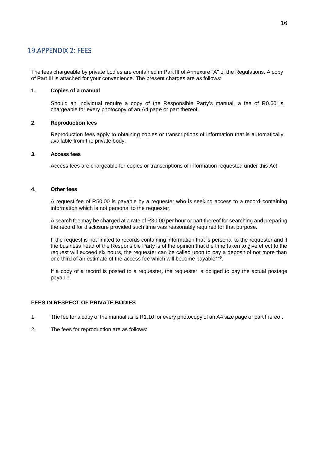#### <span id="page-15-0"></span>19. APPENDIX 2: FEES

The fees chargeable by private bodies are contained in Part III of Annexure "A" of the Regulations. A copy of Part III is attached for your convenience. The present charges are as follows:

#### **1. Copies of a manual**

Should an individual require a copy of the Responsible Party's manual, a fee of R0.60 is chargeable for every photocopy of an A4 page or part thereof.

#### **2. Reproduction fees**

Reproduction fees apply to obtaining copies or transcriptions of information that is automatically available from the private body.

#### **3. Access fees**

Access fees are chargeable for copies or transcriptions of information requested under this Act.

#### **4. Other fees**

A request fee of R50.00 is payable by a requester who is seeking access to a record containing information which is not personal to the requester.

A search fee may be charged at a rate of R30,00 per hour or part thereof for searching and preparing the record for disclosure provided such time was reasonably required for that purpose.

If the request is not limited to records containing information that is personal to the requester and if the business head of the Responsible Party is of the opinion that the time taken to give effect to the request will exceed six hours, the requester can be called upon to pay a deposit of not more than one third of an estimate of the access fee which will become payable\*\*<sup>5</sup>.

If a copy of a record is posted to a requester, the requester is obliged to pay the actual postage payable.

#### **FEES IN RESPECT OF PRIVATE BODIES**

- 1. The fee for a copy of the manual as is R1,10 for every photocopy of an A4 size page or part thereof.
- 2. The fees for reproduction are as follows: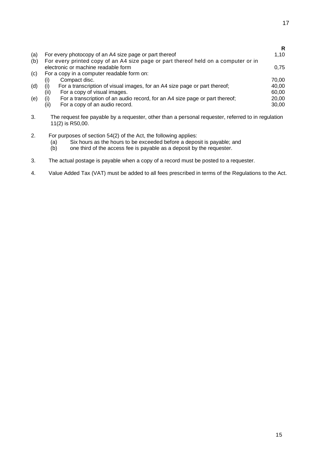|     |      |                                                                                    | R     |
|-----|------|------------------------------------------------------------------------------------|-------|
| (a) |      | For every photocopy of an A4 size page or part thereof                             | 1,10  |
| (b) |      | For every printed copy of an A4 size page or part thereof held on a computer or in |       |
|     |      | electronic or machine readable form                                                | 0.75  |
| (c) |      | For a copy in a computer readable form on:                                         |       |
|     | (i)  | Compact disc.                                                                      | 70,00 |
| (d) |      | For a transcription of visual images, for an A4 size page or part thereof;         | 40.00 |
|     | (ii) | For a copy of visual images.                                                       | 60.00 |
| (e) | (i)  | For a transcription of an audio record, for an A4 size page or part thereof;       | 20,00 |
|     | (ii) | For a copy of an audio record.                                                     | 30,00 |
|     |      |                                                                                    |       |

- 3. The request fee payable by a requester, other than a personal requester, referred to in regulation 11(2) is R50,00.
- 2. For purposes of section 54(2) of the Act, the following applies:
	- (a) Six hours as the hours to be exceeded before a deposit is payable; and (b) one third of the access fee is payable as a deposit by the requester.
	- one third of the access fee is payable as a deposit by the requester.
- 3. The actual postage is payable when a copy of a record must be posted to a requester.
- 4. Value Added Tax (VAT) must be added to all fees prescribed in terms of the Regulations to the Act.